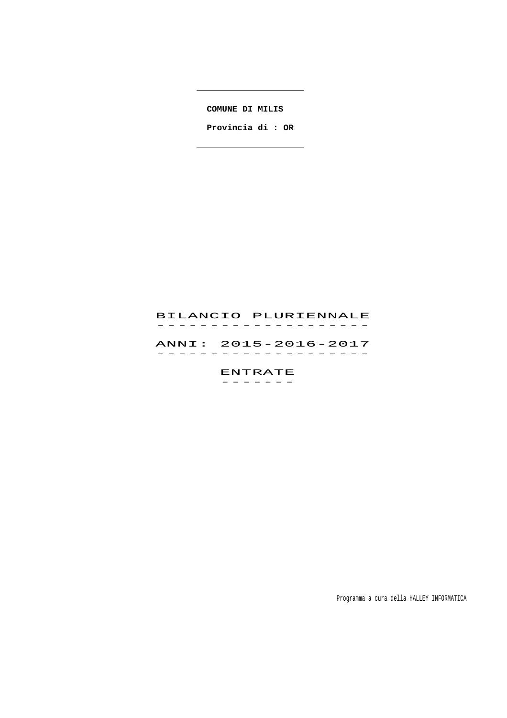**COMUNE DI MILIS** 

 **Provincia di : OR**

 $\overline{a}$  . The contract of  $\overline{a}$ 

# BILANCIO PLURIENNALE -------------------<br>BILANCIO PLURIENNALE

 ANNI: 2015-2016-2017 ANNI: 2015–2016–2017<br>------------------

> ENTRATE -------

> > Programma a cura della HALLEY INFORMATICA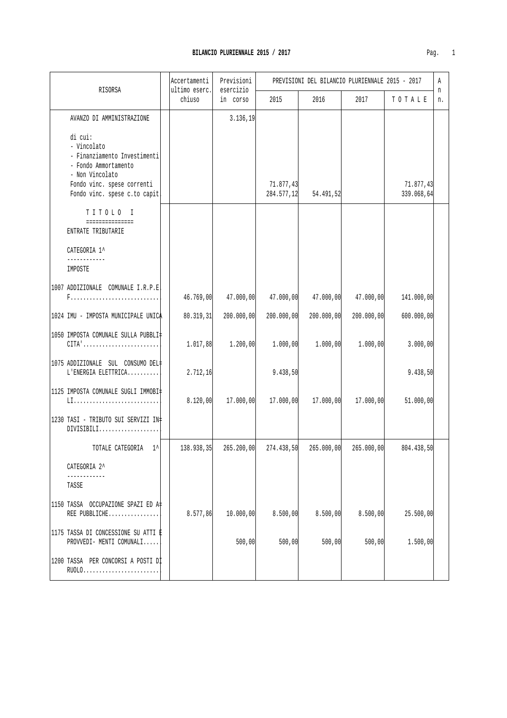| ٠. |  |
|----|--|

|                                                                                                                                                                 | Accertamenti            | Previsioni            |                         |            | PREVISIONI DEL BILANCIO PLURIENNALE 2015 - 2017 |                         | Α       |
|-----------------------------------------------------------------------------------------------------------------------------------------------------------------|-------------------------|-----------------------|-------------------------|------------|-------------------------------------------------|-------------------------|---------|
| RISORSA                                                                                                                                                         | ultimo eserc.<br>chiuso | esercizio<br>in corso | 2015                    | 2016       | 2017                                            | TOTALE                  | n<br>n. |
| AVANZO DI AMMINISTRAZIONE                                                                                                                                       |                         | 3.136, 19             |                         |            |                                                 |                         |         |
| di cui:<br>- Vincolato<br>- Finanziamento Investimenti<br>- Fondo Ammortamento<br>- Non Vincolato<br>Fondo vinc. spese correnti<br>Fondo vinc. spese c.to capit |                         |                       | 71.877,43<br>284.577,12 | 54.491,52  |                                                 | 71.877,43<br>339.068,64 |         |
| TITOLO I<br>===============<br>ENTRATE TRIBUTARIE                                                                                                               |                         |                       |                         |            |                                                 |                         |         |
| CATEGORIA 1^                                                                                                                                                    |                         |                       |                         |            |                                                 |                         |         |
| IMPOSTE                                                                                                                                                         |                         |                       |                         |            |                                                 |                         |         |
| 1007 ADDIZIONALE COMUNALE I.R.P.E.                                                                                                                              | 46.769,00               | 47.000,00             | 47.000,00               | 47.000,00  | 47.000,00                                       | 141.000,00              |         |
| 1024 IMU - IMPOSTA MUNICIPALE UNICA                                                                                                                             | 80.319,31               | 200.000,00            | 200.000,00              | 200.000,00 | 200.000,00                                      | 600.000,00              |         |
| 1050 IMPOSTA COMUNALE SULLA PUBBLI=<br>$CITA' \ldots \ldots \ldots \ldots \ldots \ldots \ldots \ldots$                                                          | 1.017,88                | 1.200,00              | 1.000,00                | 1.000,00   | 1.000,00                                        | 3.000,00                |         |
| 1075 ADDIZIONALE SUL CONSUMO DEL#<br>L'ENERGIA ELETTRICA                                                                                                        | 2.712, 16               |                       | 9.438,50                |            |                                                 | 9.438,50                |         |
| 1125 IMPOSTA COMUNALE SUGLI IMMOBI‡                                                                                                                             | 8.120,00                | 17.000,00             | 17.000,00               | 17.000,00  | 17.000,00                                       | 51.000,00               |         |
| 1230 TASI - TRIBUTO SUI SERVIZI IN‡<br>$DIVISIBILI. \ldots \ldots \ldots \ldots \ldots$                                                                         |                         |                       |                         |            |                                                 |                         |         |
| TOTALE CATEGORIA<br>$\sim$ 1                                                                                                                                    | 138.938,35              | 265.200,00            | 274.438,50              | 265.000,00 | 265.000,00                                      | 804.438,50              |         |
| CATEGORIA 2^                                                                                                                                                    |                         |                       |                         |            |                                                 |                         |         |
| TASSE                                                                                                                                                           |                         |                       |                         |            |                                                 |                         |         |
| 1150 TASSA OCCUPAZIONE SPAZI ED A#<br>REE PUBBLICHE                                                                                                             | 8.577,86                | 10.000,00             | 8.500,00                | 8.500,00   | 8.500,00                                        | 25.500,00               |         |
| 1175 TASSA DI CONCESSIONE SU ATTI È<br>PROVVEDI- MENTI COMUNALI                                                                                                 |                         | 500,00                | 500,00                  | 500,00     | 500,00                                          | 1.500,00                |         |
| 1200 TASSA PER CONCORSI A POSTI DI<br>RU0L0                                                                                                                     |                         |                       |                         |            |                                                 |                         |         |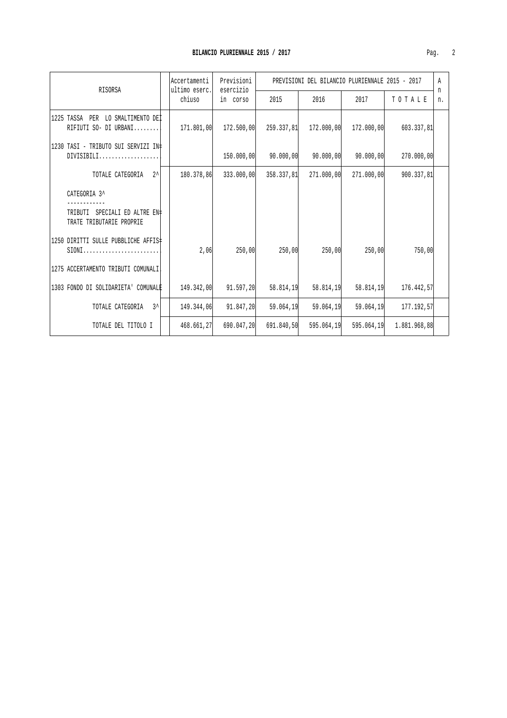| RISORSA                                                                                 |  | Accertamenti<br>ultimo eserc. | Previsioni<br>esercizio |            | PREVISIONI DEL BILANCIO PLURIENNALE 2015 - 2017 |            |              | A       |
|-----------------------------------------------------------------------------------------|--|-------------------------------|-------------------------|------------|-------------------------------------------------|------------|--------------|---------|
|                                                                                         |  | chiuso                        | in corso                | 2015       | 2016                                            | 2017       | TOTALE       | n<br>n. |
| 1225 TASSA PER LO SMALTIMENTO DEI<br>RIFIUTI SO- DI URBANI                              |  | 171.801,00                    | 172.500,00              | 259.337.81 | 172.000,00                                      | 172.000,00 | 603.337,81   |         |
| 1230 TASI - TRIBUTO SUI SERVIZI IN‡<br>$DIVISIBILI. \ldots \ldots \ldots \ldots \ldots$ |  |                               | 150.000,00              | 90.000,00  | 90.000,00                                       | 90.000,00  | 270.000,00   |         |
| $2^{\lambda}$<br>TOTALE CATEGORIA                                                       |  | 180.378,86                    | 333.000,00              | 358.337,81 | 271,000,00                                      | 271.000.00 | 900.337,81   |         |
| CATEGORIA 3^                                                                            |  |                               |                         |            |                                                 |            |              |         |
| TRIBUTI<br>SPECIALI ED ALTRE EN#<br>TRATE TRIBUTARIE PROPRIE                            |  |                               |                         |            |                                                 |            |              |         |
| 1250 DIRITTI SULLE PUBBLICHE AFFIS‡<br>$SIONI$                                          |  | 2,06                          | 250,00                  | 250,00     | 250,00                                          | 250,00     | 750,00       |         |
| 1275 ACCERTAMENTO TRIBUTI COMUNALI                                                      |  |                               |                         |            |                                                 |            |              |         |
| 1303 FONDO DI SOLIDARIETA' COMUNALE                                                     |  | 149.342,00                    | 91.597,20               | 58.814,19  | 58.814,19                                       | 58.814,19  | 176.442,57   |         |
| $3^{\lambda}$<br>TOTALE CATEGORIA                                                       |  | 149.344,06                    | 91.847,20               | 59.064.19  | 59.064,19                                       | 59.064.19  | 177.192.57   |         |
| TOTALE DEL TITOLO I                                                                     |  | 468.661,27                    | 690.047,20              | 691.840,50 | 595.064,19                                      | 595.064,19 | 1.881.968,88 |         |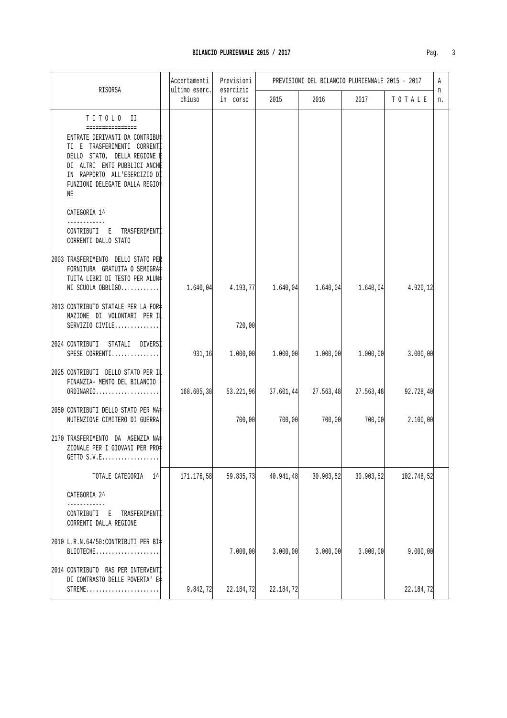| Pag |  |
|-----|--|
|     |  |

|              | RISORSA                                                                                                                                                                                                                          | Accertamenti<br>ultimo eserc. | Previsioni<br>esercizio | PREVISIONI DEL BILANCIO PLURIENNALE 2015 - 2017 |            |                                     |            |         |
|--------------|----------------------------------------------------------------------------------------------------------------------------------------------------------------------------------------------------------------------------------|-------------------------------|-------------------------|-------------------------------------------------|------------|-------------------------------------|------------|---------|
|              |                                                                                                                                                                                                                                  | chiuso                        | in corso                | 2015                                            | 2016       | 2017                                | TOTALE     | n<br>n. |
| NE           | TITOLO II<br>================<br>ENTRATE DERIVANTI DA CONTRIBU‡<br>TI E TRASFERIMENTI CORRENTI<br>DELLO STATO, DELLA REGIONE E<br>DI ALTRI ENTI PUBBLICI ANCHE<br>IN RAPPORTO ALL'ESERCIZIO DI<br>FUNZIONI DELEGATE DALLA REGIO‡ |                               |                         |                                                 |            |                                     |            |         |
| CATEGORIA 1^ | CONTRIBUTI E TRASFERIMENTI<br>CORRENTI DALLO STATO                                                                                                                                                                               |                               |                         |                                                 |            |                                     |            |         |
|              | 2003 TRASFERIMENTO DELLO STATO PER<br>FORNITURA GRATUITA O SEMIGRA=<br>TUITA LIBRI DI TESTO PER ALUN‡<br>NI SCUOLA OBBLIGO                                                                                                       | 1.640,04                      |                         | $4.193,77$ $1.640,04$ $1.640,04$ $1.640,04$     |            |                                     | 4.920,12   |         |
|              | 2013 CONTRIBUTO STATALE PER LA FOR‡<br>MAZIONE DI VOLONTARI PER IL<br>SERVIZIO CIVILE                                                                                                                                            |                               | 720,00                  |                                                 |            |                                     |            |         |
|              | 2024 CONTRIBUTI STATALI DIVERSI<br>SPESE CORRENTI                                                                                                                                                                                | 931,16                        |                         | $1.000,00$ $1.000,00$ $1.000,00$ $1.000,00$     |            |                                     | 3.000,00   |         |
|              | 2025 CONTRIBUTI DELLO STATO PER IL<br>FINANZIA- MENTO DEL BILANCIO<br>ORDINARIO                                                                                                                                                  | 168.605,38                    | 53.221,96               |                                                 |            | $37.601,44$ $27.563,48$ $27.563,48$ | 92.728,40  |         |
|              | 2050 CONTRIBUTI DELLO STATO PER MA#<br>NUTENZIONE CIMITERO DI GUERRA                                                                                                                                                             |                               | 700,00                  | 700,00                                          | 700,00     | 700,00                              | 2.100,00   |         |
|              | 2170 TRASFERIMENTO DA AGENZIA NA=<br>ZIONALE PER I GIOVANI PER PRO‡<br>GETTO S.V.E                                                                                                                                               |                               |                         |                                                 |            |                                     |            |         |
|              | $1^{\prime}$<br>TOTALE CATEGORIA                                                                                                                                                                                                 | 171.176,58                    | 59.835,73               | 40.941,48                                       | 30.903, 52 | 30.903,52                           | 102.748,52 |         |
| CATEGORIA 2^ |                                                                                                                                                                                                                                  |                               |                         |                                                 |            |                                     |            |         |
| CONTRIBUTI E | TRASFERIMENTI<br>CORRENTI DALLA REGIONE                                                                                                                                                                                          |                               |                         |                                                 |            |                                     |            |         |
|              | 2010 L.R.N.64/50:CONTRIBUTI PER BI=<br>BLIOTECHE                                                                                                                                                                                 |                               | 7.000,00                | 3.000,00                                        | 3.000,00   | 3.000,00                            | 9.000,00   |         |
|              | 2014 CONTRIBUTO RAS PER INTERVENTI<br>DI CONTRASTO DELLE POVERTA' E‡<br>$STREME$                                                                                                                                                 | 9.842,72                      | 22.184,72               | 22.184,72                                       |            |                                     | 22.184,72  |         |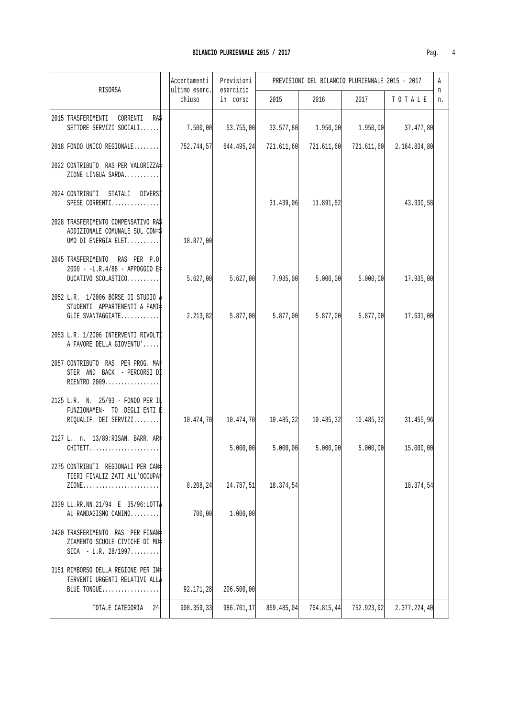| Pag |  |
|-----|--|
|     |  |

|                                                                                               | Accertamenti            | Previsioni            |                       |                       | PREVISIONI DEL BILANCIO PLURIENNALE 2015 - 2017 |                                                                                            | A       |
|-----------------------------------------------------------------------------------------------|-------------------------|-----------------------|-----------------------|-----------------------|-------------------------------------------------|--------------------------------------------------------------------------------------------|---------|
| RISORSA                                                                                       | ultimo eserc.<br>chiuso | esercizio<br>in corso | 2015                  | 2016                  | 2017                                            | TOTALE                                                                                     | n<br>n. |
| 2015 TRASFERIMENTI CORRENTI RAS<br>SETTORE SERVIZI SOCIALI                                    |                         |                       |                       |                       |                                                 | $7.500,00$ $53.755,00$ $33.577,80$ $1.950,00$ $1.950,00$ $37.477,80$                       |         |
| 2018 FONDO UNICO REGIONALE                                                                    |                         |                       |                       |                       |                                                 | 752.744,57 644.495,24 721.611,60 721.611,60 721.611,60 2.164.834,80                        |         |
| 2022 CONTRIBUTO RAS PER VALORIZZA<br>ZIONE LINGUA SARDA                                       |                         |                       |                       |                       |                                                 |                                                                                            |         |
| 2024 CONTRIBUTI STATALI DIVERSI<br>SPESE CORRENTI                                             |                         |                       |                       | $31.439,06$ 11.891,52 |                                                 | 43.330,58                                                                                  |         |
| 2028 TRASFERIMENTO COMPENSATIVO RAS<br>ADDIZIONALE COMUNALE SUL CON=\$<br>UMO DI ENERGIA ELET | 18.877,00               |                       |                       |                       |                                                 |                                                                                            |         |
| 2045 TRASFERIMENTO RAS PER P.O<br>2000 - -L.R.4/88 - APPOGGIO E‡<br>DUCATIVO SCOLASTICO       | 5.627,00                |                       | $5.627,00$ $7.935,00$ | 5.000, 00             | 5.000,00                                        | 17.935,00                                                                                  |         |
| 2052 L.R. 1/2006 BORSE DI STUDIO A<br>STUDENTI APPARTENENTI A FAMI‡<br>GLIE SVANTAGGIATE      | 2.213,82                | 5.877,00              | 5.877,00              | 5.877,00              | 5.877,00                                        | 17.631,00                                                                                  |         |
| 2053 L.R. 1/2006 INTERVENTI RIVOLTI<br>A FAVORE DELLA GIOVENTU'                               |                         |                       |                       |                       |                                                 |                                                                                            |         |
| 2057 CONTRIBUTO RAS PER PROG. MA+<br>STER AND BACK - PERCORSI DI<br>RIENTRO 2009              |                         |                       |                       |                       |                                                 |                                                                                            |         |
| 2125 L.R. N. 25/93 - FONDO PER IL<br>FUNZIONAMEN- TO DEGLI ENTI E<br>RIOUALIF. DEI SERVIZI    |                         |                       |                       |                       |                                                 | $10.474, 70$ $10.474, 70$ $10.485, 32$ $10.485, 32$ $10.485, 32$ $10.485, 32$ $31.455, 96$ |         |
| 2127 L. n. 13/89:RISAN. BARR. AR+<br>CHITETT                                                  |                         |                       |                       |                       |                                                 | $5.000,00$ $5.000,00$ $5.000,00$ $5.000,00$ $15.000,00$                                    |         |
| 2275 CONTRIBUTI REGIONALI PER CAN‡<br>TIERI FINALIZ ZATI ALL'OCCUPA#<br>ZIONE                 | 8.208,24                | 24.787,51             | 18.374,54             |                       |                                                 | 18.374,54                                                                                  |         |
| 2339 LL.RR.NN.21/94 E 35/96:LOTTA<br>AL RANDAGISMO CANINO                                     | 700,00                  | 1.000,00              |                       |                       |                                                 |                                                                                            |         |
| 2420 TRASFERIMENTO RAS PER FINAN#<br>ZIAMENTO SCUOLE CIVICHE DI MU‡<br>$SICA - L.R. 28/1997$  |                         |                       |                       |                       |                                                 |                                                                                            |         |
| 3151 RIMBORSO DELLA REGIONE PER IN#<br>TERVENTI URGENTI RELATIVI ALLA<br>BLUE TONGUE          | 92.171,28               | 206.500,00            |                       |                       |                                                 |                                                                                            |         |
| $2^{\lambda}$<br>TOTALE CATEGORIA                                                             | 908.359,33              | 986.701,17            | 859.485,04            | 764.815,44            | 752.923,92                                      | 2.377.224,40                                                                               |         |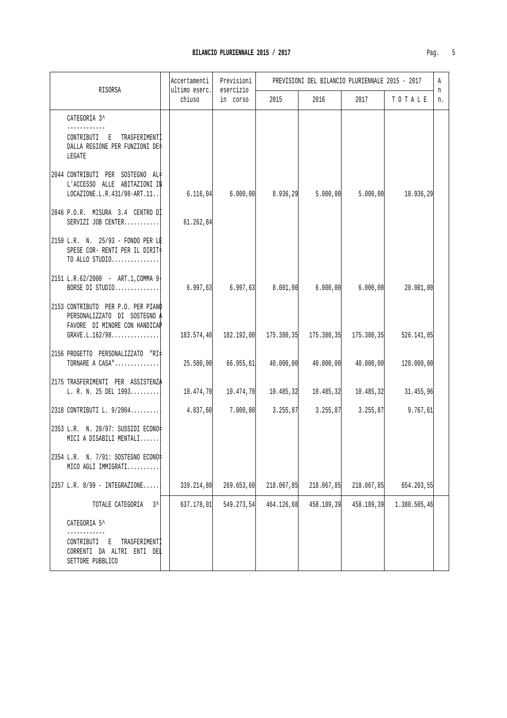|                                                                                                                       | Accertamenti            | Previsioni<br>esercizio                                          | PREVISIONI DEL BILANCIO PLURIENNALE 2015 - 2017 |            |                                     |              |         |
|-----------------------------------------------------------------------------------------------------------------------|-------------------------|------------------------------------------------------------------|-------------------------------------------------|------------|-------------------------------------|--------------|---------|
| RISORSA                                                                                                               | ultimo eserc.<br>chiuso | in corso                                                         | 2015                                            | 2016       | 2017                                | TOTALE       | n<br>n. |
| CATEGORIA 3^                                                                                                          |                         |                                                                  |                                                 |            |                                     |              |         |
| CONTRIBUTI E<br>TRASFERIMENTI<br>DALLA REGIONE PER FUNZIONI DE‡<br>LEGATE                                             |                         |                                                                  |                                                 |            |                                     |              |         |
| 2044 CONTRIBUTI PER SOSTEGNO AL=<br>L'ACCESSO ALLE ABITAZIONI IN<br>LOCAZIONE.L.R.431/98-ART.11                       |                         | $6.116,04$ $6.000,00$                                            | 8.936, 29                                       | 5.000, 00  | 5.000, 00                           | 18.936,29    |         |
| 2046 P.O.R. MISURA 3.4 CENTRO DI<br>SERVIZI JOB CENTER                                                                | 61.262,84               |                                                                  |                                                 |            |                                     |              |         |
| 2150 L.R. N. 25/93 - FONDO PER LE<br>SPESE COR- RENTI PER IL DIRIT‡<br>TO ALLO STUDIO                                 |                         |                                                                  |                                                 |            |                                     |              |         |
| 2151 L.R.62/2000 - ART.1, COMMA 9-<br>BORSE DI STUDIO                                                                 | 6.997, 63               | 6.997, 63                                                        | 8.001,00                                        | 6.000,00   | 6.000,00                            | 20.001,00    |         |
| 2153 CONTRIBUTO PER P.O. PER PIANO<br>PERSONALIZZATO DI SOSTEGNO A<br>FAVORE DI MINORE CON HANDICAP<br>GRAVE.L.162/98 |                         | 183.574,40  182.192,00  175.380,35  175.380,35  175.380,35       |                                                 |            |                                     | 526.141,05   |         |
| 2156 PROGETTO PERSONALIZZATO "RI#<br>TORNARE A CASA"                                                                  | 25.500,00               | 66.955, 61                                                       | 40.000,00                                       | 40.000,00  | 40.000,00                           | 120.000,00   |         |
| 2175 TRASFERIMENTI PER ASSISTENZA<br>L. R. N. 25 DEL 1993                                                             |                         | $10.474, 70$ $10.474, 70$ $10.485, 32$ $10.485, 32$ $10.485, 32$ |                                                 |            |                                     | 31.455,96    |         |
| 2318 CONTRIBUTI L. 9/2004                                                                                             | 4.037,60                | 7.000,00                                                         |                                                 |            | $3.255, 87$ $3.255, 87$ $3.255, 87$ | 9.767, 61    |         |
| 2353 L.R. N. 20/97: SUSSIDI ECONO=<br>MICI A DISABILI MENTALI                                                         |                         |                                                                  |                                                 |            |                                     |              |         |
| 2354 L.R. N. 7/91: SOSTEGNO ECONO=<br>MICO AGLI IMMIGRATI                                                             |                         |                                                                  |                                                 |            |                                     |              |         |
| 2357 L.R. 8/99 - INTEGRAZIONE                                                                                         | 339.214,80              | 269.653,60                                                       | 218.067,85                                      | 218.067,85 | 218.067,85                          | 654.203,55   |         |
| TOTALE CATEGORIA<br>3^                                                                                                | 637.178,01              | 549.273,54                                                       | 464.126,68                                      | 458.189,39 | 458.189,39                          | 1.380.505,46 |         |
| CATEGORIA 5^                                                                                                          |                         |                                                                  |                                                 |            |                                     |              |         |
| CONTRIBUTI<br>TRASFERIMENTI<br>Е<br>CORRENTI DA ALTRI ENTI DEL<br>SETTORE PUBBLICO                                    |                         |                                                                  |                                                 |            |                                     |              |         |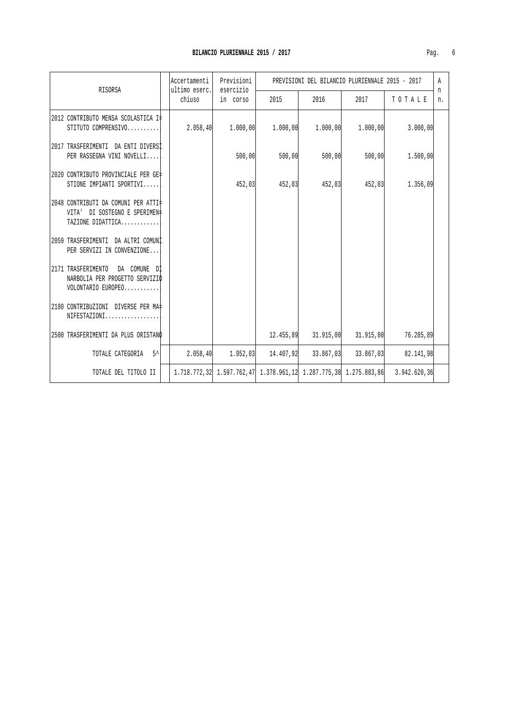| RISORSA                                                                                    | Previsioni<br>Accertamenti<br>ultimo eserc.<br>esercizio |          |          | PREVISIONI DEL BILANCIO PLURIENNALE 2015 - 2017 |          |                                                                               | A<br>n |
|--------------------------------------------------------------------------------------------|----------------------------------------------------------|----------|----------|-------------------------------------------------|----------|-------------------------------------------------------------------------------|--------|
|                                                                                            | chiuso                                                   | in corso | 2015     | 2016                                            | 2017     | TOTALE                                                                        | n.     |
| 2012 CONTRIBUTO MENSA SCOLASTICA I‡<br>STITUTO COMPRENSIVO                                 | 2.058, 40                                                | 1.000,00 | 1.000,00 | 1.000,00                                        | 1.000,00 | 3.000,00                                                                      |        |
| 2017 TRASFERIMENTI DA ENTI DIVERSI<br>PER RASSEGNA VINI NOVELLI                            |                                                          | 500,00   | 500,00   | 500,00                                          | 500,00   | 1.500,00                                                                      |        |
| 2020 CONTRIBUTO PROVINCIALE PER GE#<br>STIONE IMPIANTI SPORTIVI                            |                                                          | 452,03   | 452,03   | 452,03                                          | 452,03   | 1.356,09                                                                      |        |
| 2048 CONTRIBUTI DA COMUNI PER ATTI‡<br>VITA' DI SOSTEGNO E SPERIMEN‡<br>TAZIONE DIDATTICA  |                                                          |          |          |                                                 |          |                                                                               |        |
| 2059 TRASFERIMENTI DA ALTRI COMUNI<br>PER SERVIZI IN CONVENZIONE                           |                                                          |          |          |                                                 |          |                                                                               |        |
| 2171 TRASFERIMENTO<br>DA COMUNE DI<br>NARBOLIA PER PROGETTO SERVIZIO<br>VOLONTARIO EUROPEO |                                                          |          |          |                                                 |          |                                                                               |        |
| 2180 CONTRIBUZIONI DIVERSE PER MA+<br>NIFESTAZIONI                                         |                                                          |          |          |                                                 |          |                                                                               |        |
| 2500 TRASFERIMENTI DA PLUS ORISTANO                                                        |                                                          |          |          | $12.455,89$ $31.915,00$ $31.915,00$             |          | 76.285,89                                                                     |        |
| TOTALE CATEGORIA 5^                                                                        | 2.058, 40                                                |          |          | $1.952.03$ $14.407.92$ $33.867.03$ $33.867.03$  |          | 82.141,98                                                                     |        |
| TOTALE DEL TITOLO II                                                                       |                                                          |          |          |                                                 |          | 1.718.772.32 1.597.762.47 1.378.961.12 1.287.775.38 1.275.883.86 3.942.620.36 |        |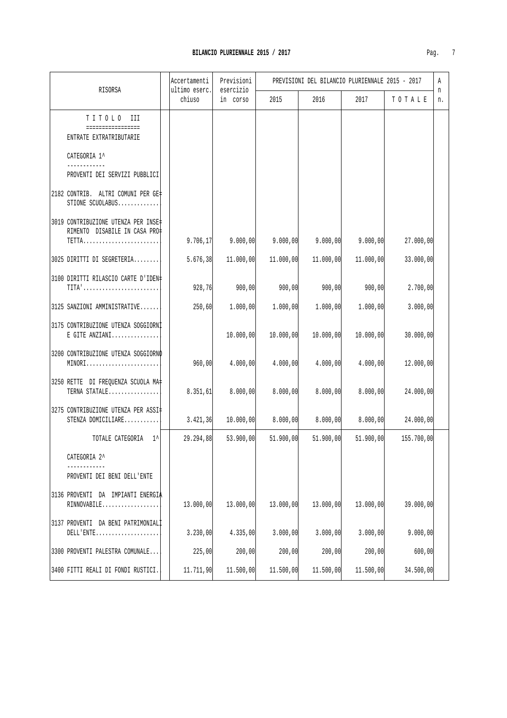| Pag. |  |  |
|------|--|--|

| RISORSA                                                              | Accertamenti<br>ultimo eserc. | Previsioni<br>esercizio |           | PREVISIONI DEL BILANCIO PLURIENNALE 2015 - 2017 |           |            | Α       |
|----------------------------------------------------------------------|-------------------------------|-------------------------|-----------|-------------------------------------------------|-----------|------------|---------|
|                                                                      | chiuso                        | in corso                | 2015      | 2016                                            | 2017      | TOTALE     | n<br>n. |
| TITOLO III<br>================<br>ENTRATE EXTRATRIBUTARIE            |                               |                         |           |                                                 |           |            |         |
| CATEGORIA 1^                                                         |                               |                         |           |                                                 |           |            |         |
| PROVENTI DEI SERVIZI PUBBLICI                                        |                               |                         |           |                                                 |           |            |         |
| 2182 CONTRIB. ALTRI COMUNI PER GE#<br>STIONE SCUOLABUS               |                               |                         |           |                                                 |           |            |         |
| 3019 CONTRIBUZIONE UTENZA PER INSE‡<br>RIMENTO DISABILE IN CASA PRO‡ | 9.706, 17                     | 9.000,00                | 9.000,00  | 9.000,00                                        | 9.000,00  | 27.000,00  |         |
| 3025 DIRITTI DI SEGRETERIA                                           | 5.676,38                      | 11.000,00               | 11.000,00 | 11.000,00                                       | 11.000,00 | 33.000,00  |         |
| 3100 DIRITTI RILASCIO CARTE D'IDEN#<br>TITA'                         | 928,76                        | 900,00                  | 900,00    | 900,00                                          | 900,00    | 2.700,00   |         |
| 3125 SANZIONI AMMINISTRATIVE                                         | 250,60                        | 1.000,00                | 1.000,00  | 1.000,00                                        | 1.000,00  | 3.000,00   |         |
| 3175 CONTRIBUZIONE UTENZA SOGGIORNI<br>E GITE ANZIANI                |                               | 10.000,00               | 10.000,00 | 10.000,00                                       | 10.000,00 | 30.000,00  |         |
| 3200 CONTRIBUZIONE UTENZA SOGGIORNO<br>MINORI                        | 960,00                        | 4.000,00                | 4.000,00  | 4.000,00                                        | 4.000,00  | 12.000,00  |         |
| 3250 RETTE DI FREQUENZA SCUOLA MA‡<br>TERNA STATALE                  | 8.351,61                      | 8.000,00                | 8.000,00  | 8.000,00                                        | 8.000,00  | 24.000,00  |         |
| 3275 CONTRIBUZIONE UTENZA PER ASSI#<br>STENZA DOMICILIARE            |                               | $3.421, 36$ 10.000,00   | 8.000,00  | 8.000,00                                        | 8.000,00  | 24.000,00  |         |
| TOTALE CATEGORIA 1^                                                  | 29.294,88                     | 53.900,00               | 51.900,00 | 51.900,00                                       | 51.900,00 | 155.700,00 |         |
| CATEGORIA 2^<br>PROVENTI DEI BENI DELL'ENTE                          |                               |                         |           |                                                 |           |            |         |
| 3136 PROVENTI DA IMPIANTI ENERGIA<br>RINNOVABILE                     | 13.000,00                     | 13.000,00               | 13.000,00 | 13.000,00                                       | 13.000,00 | 39.000,00  |         |
| 3137 PROVENTI DA BENI PATRIMONIALI<br>$DELL'$ $ENTE$                 | 3.230,00                      | 4.335,00                | 3.000,00  | 3.000,00                                        | 3.000,00  | 9.000,00   |         |
| 3300 PROVENTI PALESTRA COMUNALE                                      | 225,00                        | 200,00                  | 200,00    | 200,00                                          | 200,00    | 600,00     |         |
| 3400 FITTI REALI DI FONDI RUSTICI.                                   | 11.711,90                     | 11.500,00               | 11.500,00 | 11.500,00                                       | 11.500,00 | 34.500,00  |         |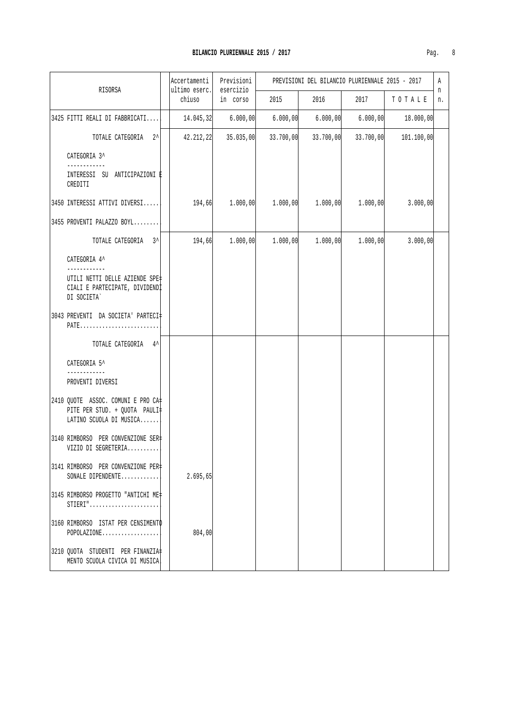| Pag | v |
|-----|---|

| RISORSA                                                                                        | Accertamenti<br>ultimo eserc. | Previsioni<br>esercizio | PREVISIONI DEL BILANCIO PLURIENNALE 2015 - 2017 |           |           |            |         |
|------------------------------------------------------------------------------------------------|-------------------------------|-------------------------|-------------------------------------------------|-----------|-----------|------------|---------|
|                                                                                                | chiuso                        | in corso                | 2015                                            | 2016      | 2017      | TOTALE     | n<br>n. |
| 3425 FITTI REALI DI FABBRICATI                                                                 | 14.045,32                     | 6.000,00                | 6.000,00                                        | 6.000,00  | 6.000,00  | 18.000,00  |         |
| TOTALE CATEGORIA 2^                                                                            | 42.212,22                     | 35.035,00               | 33.700,00                                       | 33.700,00 | 33.700,00 | 101.100,00 |         |
| CATEGORIA 3^                                                                                   |                               |                         |                                                 |           |           |            |         |
| INTERESSI SU ANTICIPAZIONI E<br>CREDITI                                                        |                               |                         |                                                 |           |           |            |         |
| 3450 INTERESSI ATTIVI DIVERSI                                                                  | 194,66                        | 1.000,00                | 1.000,00                                        | 1.000,00  | 1.000,00  | 3.000,00   |         |
| 3455 PROVENTI PALAZZO BOYL                                                                     |                               |                         |                                                 |           |           |            |         |
| TOTALE CATEGORIA 3^                                                                            | 194,66                        | 1.000,00                | 1.000,00                                        | 1.000,00  | 1.000,00  | 3.000,00   |         |
| CATEGORIA 4^                                                                                   |                               |                         |                                                 |           |           |            |         |
| UTILI NETTI DELLE AZIENDE SPE‡<br>CIALI E PARTECIPATE, DIVIDENDI<br>DI SOCIETA`                |                               |                         |                                                 |           |           |            |         |
| 3043 PREVENTI DA SOCIETA 'PARTECI#                                                             |                               |                         |                                                 |           |           |            |         |
| TOTALE CATEGORIA 4^                                                                            |                               |                         |                                                 |           |           |            |         |
| CATEGORIA 5^                                                                                   |                               |                         |                                                 |           |           |            |         |
| PROVENTI DIVERSI                                                                               |                               |                         |                                                 |           |           |            |         |
| 2410 QUOTE ASSOC. COMUNI E PRO CA+<br>PITE PER STUD. + QUOTA PAULI=<br>LATINO SCUOLA DI MUSICA |                               |                         |                                                 |           |           |            |         |
| 3140 RIMBORSO PER CONVENZIONE SER=<br>VIZIO DI SEGRETERIA                                      |                               |                         |                                                 |           |           |            |         |
| 3141 RIMBORSO PER CONVENZIONE PER‡<br>SONALE DIPENDENTE                                        | 2.695,65                      |                         |                                                 |           |           |            |         |
| 3145 RIMBORSO PROGETTO "ANTICHI ME‡<br>$STIERI".$                                              |                               |                         |                                                 |           |           |            |         |
| 3160 RIMBORSO ISTAT PER CENSIMENTO<br>$POPOLAZIONE$                                            | 804,00                        |                         |                                                 |           |           |            |         |
| 3210 QUOTA STUDENTI PER FINANZIA#<br>MENTO SCUOLA CIVICA DI MUSICA                             |                               |                         |                                                 |           |           |            |         |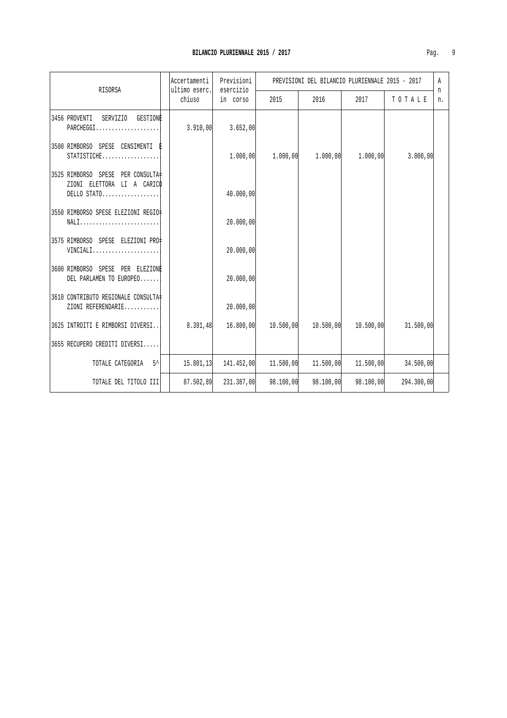| RISORSA                                                                          | Accertamenti | Previsioni | PREVISIONI DEL BILANCIO PLURIENNALE 2015 - 2017<br>ultimo eserc.<br>esercizio |            |           |            |    | Α<br>n |
|----------------------------------------------------------------------------------|--------------|------------|-------------------------------------------------------------------------------|------------|-----------|------------|----|--------|
|                                                                                  | chiuso       | in corso   | 2015                                                                          | 2016       | 2017      | TOTALE     | n. |        |
| 3456 PROVENTI<br>SERVIZIO GESTIONE<br>PARCHEGGI                                  | 3.910,00     | 3.652,00   |                                                                               |            |           |            |    |        |
| 3500 RIMBORSO SPESE CENSIMENTI<br>STATISTICHE                                    |              | 1.000,00   | 1.000,00                                                                      | 1.000,00   | 1.000,00  | 3.000,00   |    |        |
| 3525 RIMBORSO SPESE PER CONSULTA=<br>ZIONI ELETTORA LI A CARICO<br>$DELLO STATO$ |              | 40.000,00  |                                                                               |            |           |            |    |        |
| 3550 RIMBORSO SPESE ELEZIONI REGIO‡<br>NALI                                      |              | 20.000,00  |                                                                               |            |           |            |    |        |
| 3575 RIMBORSO SPESE ELEZIONI PRO‡<br>VINCIALI                                    |              | 20.000,00  |                                                                               |            |           |            |    |        |
| 3600 RIMBORSO SPESE PER ELEZIONE<br>DEL PARLAMEN TO EUROPEO                      |              | 20.000,00  |                                                                               |            |           |            |    |        |
| 3610 CONTRIBUTO REGIONALE CONSULTA<br>ZIONI REFERENDARIE                         |              | 20.000,00  |                                                                               |            |           |            |    |        |
| 3625 INTROITI E RIMBORSI DIVERSI                                                 | 8.391,48     | 16.800,00  | 10.500,00                                                                     | 10.500, 00 | 10.500,00 | 31.500,00  |    |        |
| 3655 RECUPERO CREDITI DIVERSI                                                    |              |            |                                                                               |            |           |            |    |        |
| $5^{\prime}$<br>TOTALE CATEGORIA                                                 | 15.801,13    | 141.452,00 | 11.500,00                                                                     | 11.500,00  | 11,500,00 | 34.500,00  |    |        |
| TOTALE DEL TITOLO III                                                            | 87.502,89    | 231.387,00 | 98.100,00                                                                     | 98.100,00  | 98.100,00 | 294.300,00 |    |        |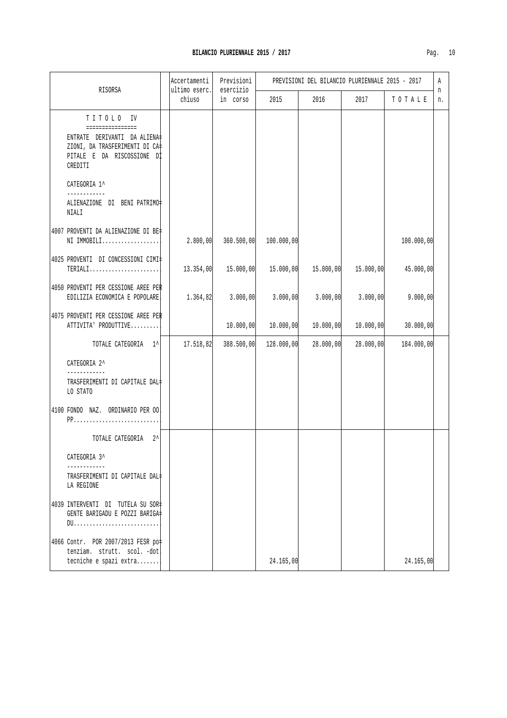| RISORSA                                                                                                                                  | Accertamenti<br>ultimo eserc. | Previsioni<br>esercizio | PREVISIONI DEL BILANCIO PLURIENNALE 2015 - 2017 |           |           |            |         |
|------------------------------------------------------------------------------------------------------------------------------------------|-------------------------------|-------------------------|-------------------------------------------------|-----------|-----------|------------|---------|
|                                                                                                                                          | chiuso                        | in corso                | 2015                                            | 2016      | 2017      | TOTALE     | n<br>n. |
| TITOLO IV<br>================<br>ENTRATE DERIVANTI DA ALIENA‡<br>ZIONI, DA TRASFERIMENTI DI CA‡<br>PITALE E DA RISCOSSIONE DI<br>CREDITI |                               |                         |                                                 |           |           |            |         |
| CATEGORIA 1^<br>------------                                                                                                             |                               |                         |                                                 |           |           |            |         |
| ALIENAZIONE DI BENI PATRIMO#<br>NIALI                                                                                                    |                               |                         |                                                 |           |           |            |         |
| 4007 PROVENTI DA ALIENAZIONE DI BE‡<br>NI IMMOBILI                                                                                       | 2.800,00                      | 360.500,00              | 100.000,00                                      |           |           | 100.000,00 |         |
| 4025 PROVENTI DI CONCESSIONI CIMI‡<br>TERIALI                                                                                            | 13.354,00                     | 15.000,00               | 15.000,00                                       | 15.000,00 | 15.000,00 | 45.000,00  |         |
| 4050 PROVENTI PER CESSIONE AREE PER<br>EDILIZIA ECONOMICA E POPOLARE.                                                                    | 1.364,82                      | 3.000,00                | 3.000,00                                        | 3.000,00  | 3.000,00  | 9.000,00   |         |
| 4075 PROVENTI PER CESSIONE AREE PER<br>ATTIVITA' PRODUTTIVE                                                                              |                               | 10.000,00               | 10.000,00                                       | 10.000,00 | 10.000,00 | 30.000,00  |         |
| TOTALE CATEGORIA 1^                                                                                                                      | 17.518,82                     | 388.500,00              | 128.000,00                                      | 28.000,00 | 28.000,00 | 184.000,00 |         |
| CATEGORIA 2^<br>TRASFERIMENTI DI CAPITALE DAL‡<br>LO STATO                                                                               |                               |                         |                                                 |           |           |            |         |
| 4100 FONDO NAZ. ORDINARIO PER OO                                                                                                         |                               |                         |                                                 |           |           |            |         |
| TOTALE CATEGORIA<br>$2^{\lambda}$                                                                                                        |                               |                         |                                                 |           |           |            |         |
| CATEGORIA 3^<br>TRASFERIMENTI DI CAPITALE DAL‡<br>LA REGIONE                                                                             |                               |                         |                                                 |           |           |            |         |
| 4039 INTERVENTI DI TUTELA SU SOR‡<br>GENTE BARIGADU E POZZI BARIGA#                                                                      |                               |                         |                                                 |           |           |            |         |
| 4066 Contr. POR 2007/2013 FESR po<br>tenziam. strutt. scol. -dot<br>tecniche e spazi extra                                               |                               |                         | 24.165,00                                       |           |           | 24.165,00  |         |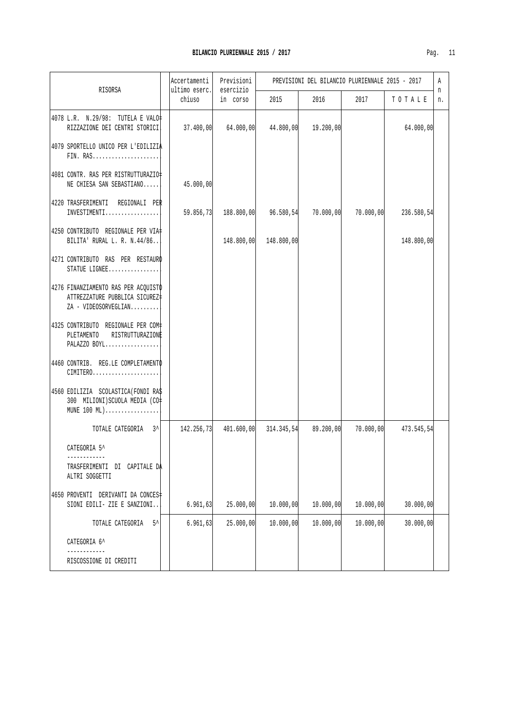| RISORSA                                                                                       | Accertamenti<br>ultimo eserc. | Previsioni<br>esercizio |            | PREVISIONI DEL BILANCIO PLURIENNALE 2015 - 2017 |           |            | Α<br>n |
|-----------------------------------------------------------------------------------------------|-------------------------------|-------------------------|------------|-------------------------------------------------|-----------|------------|--------|
|                                                                                               | chiuso                        | in corso                | 2015       | 2016                                            | 2017      | TOTALE     | n.     |
| 4078 L.R. N.29/98: TUTELA E VALO=<br>RIZZAZIONE DEI CENTRI STORICI                            | 37.400,00                     | 64.000,00               | 44.800,00  | 19.200,00                                       |           | 64.000,00  |        |
| 4079 SPORTELLO UNICO PER L'EDILIZIA<br>FIN. RAS                                               |                               |                         |            |                                                 |           |            |        |
| 4081 CONTR. RAS PER RISTRUTTURAZIO‡<br>NE CHIESA SAN SEBASTIANO                               | 45.000,00                     |                         |            |                                                 |           |            |        |
| 4220 TRASFERIMENTI REGIONALI PER<br>INVESTIMENTI                                              | 59.856,73                     | 188.800,00              | 96.580,54  | 70.000,00                                       | 70.000,00 | 236.580,54 |        |
| 4250 CONTRIBUTO REGIONALE PER VIA#<br>BILITA' RURAL L. R. N.44/86                             |                               | 148.800,00              | 148.800,00 |                                                 |           | 148.800,00 |        |
| 4271 CONTRIBUTO RAS PER RESTAURO<br>STATUE LIGNEE                                             |                               |                         |            |                                                 |           |            |        |
| 4276 FINANZIAMENTO RAS PER ACQUISTO<br>ATTREZZATURE PUBBLICA SICUREZ‡<br>ZA - VIDEOSORVEGLIAN |                               |                         |            |                                                 |           |            |        |
| 4325 CONTRIBUTO REGIONALE PER COM+<br>PLETAMENTO<br>RISTRUTTURAZIONE<br>PALAZZO BOYL          |                               |                         |            |                                                 |           |            |        |
| 4460 CONTRIB. REG.LE COMPLETAMENTO<br>CIMITERO                                                |                               |                         |            |                                                 |           |            |        |
| 4560 EDILIZIA SCOLASTICA (FONDI RA\$<br>300 MILIONI) SCUOLA MEDIA (CO=<br>MUNE 100 ML)        |                               |                         |            |                                                 |           |            |        |
| TOTALE CATEGORIA 3^                                                                           | 142.256,73                    | 401.600,00              | 314.345,54 | 89.200,00                                       | 70.000,00 | 473.545,54 |        |
| CATEGORIA 5^<br>------------                                                                  |                               |                         |            |                                                 |           |            |        |
| TRASFERIMENTI DI CAPITALE DA<br>ALTRI SOGGETTI                                                |                               |                         |            |                                                 |           |            |        |
| 4650 PROVENTI DERIVANTI DA CONCES‡<br>SIONI EDILI- ZIE E SANZIONI                             | 6.961, 63                     | 25.000,00               | 10.000,00  | 10.000,00                                       | 10.000,00 | 30.000,00  |        |
| $5^{\lambda}$<br>TOTALE CATEGORIA                                                             | 6.961, 63                     | 25.000,00               | 10.000,00  | 10.000,00                                       | 10.000,00 | 30.000,00  |        |
| CATEGORIA 6^                                                                                  |                               |                         |            |                                                 |           |            |        |
| RISCOSSIONE DI CREDITI                                                                        |                               |                         |            |                                                 |           |            |        |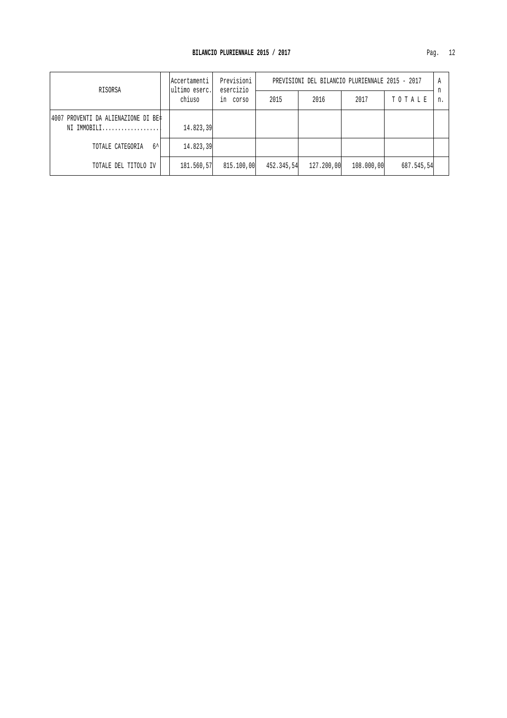| RISORSA                                             | Accertamenti<br>ultimo eserc. | Previsioni<br>esercizio | PREVISIONI DEL BILANCIO PLURIENNALE 2015 - 2017 |            |            |            |    |
|-----------------------------------------------------|-------------------------------|-------------------------|-------------------------------------------------|------------|------------|------------|----|
|                                                     | chiuso                        | COYSO<br>ın             | 2015                                            | 2016       | 2017       | TOTALE     | n. |
| 14007 PROVENTI DA ALIENAZIONE DI BE‡<br>NI IMMOBILI | 14.823,39                     |                         |                                                 |            |            |            |    |
|                                                     |                               |                         |                                                 |            |            |            |    |
| $6^{\lambda}$<br>TOTALE CATEGORIA                   | 14.823,39                     |                         |                                                 |            |            |            |    |
| TOTALE DEL TITOLO IV                                | 181.560,57                    | 815.100,00              | 452.345,54                                      | 127.200,00 | 108,000,00 | 687.545,54 |    |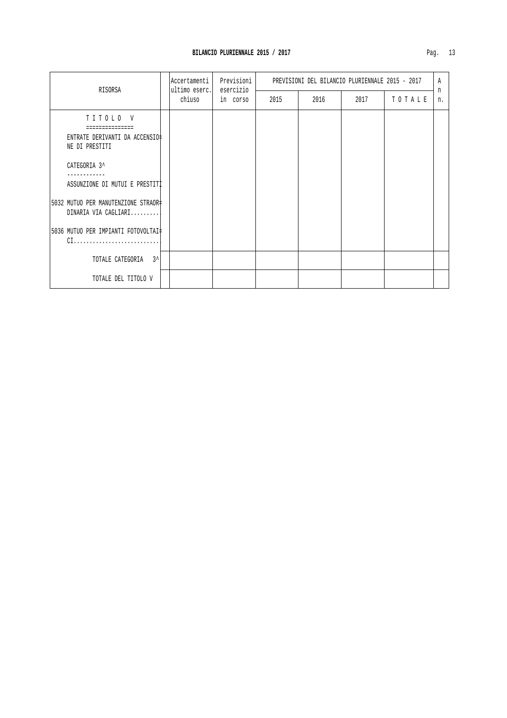|                                                                                                                                                                                                                              | Accertamenti            | Previsioni            | PREVISIONI DEL BILANCIO PLURIENNALE 2015 - 2017 |      |      |        | A       |
|------------------------------------------------------------------------------------------------------------------------------------------------------------------------------------------------------------------------------|-------------------------|-----------------------|-------------------------------------------------|------|------|--------|---------|
| RISORSA                                                                                                                                                                                                                      | ultimo eserc.<br>chiuso | esercizio<br>in corso | 2015                                            | 2016 | 2017 | TOTALE | n<br>n. |
| TITOLO V<br>ENTRATE DERIVANTI DA ACCENSIO‡<br>NE DI PRESTITI<br>CATEGORIA 3^<br>ASSUNZIONE DI MUTUI E PRESTITI<br>5032 MUTUO PER MANUTENZIONE STRAOR‡<br>DINARIA VIA CAGLIARI<br>5036 MUTUO PER IMPIANTI FOTOVOLTAI#<br>$CL$ |                         |                       |                                                 |      |      |        |         |
| TOTALE CATEGORIA 3^                                                                                                                                                                                                          |                         |                       |                                                 |      |      |        |         |
| TOTALE DEL TITOLO V                                                                                                                                                                                                          |                         |                       |                                                 |      |      |        |         |